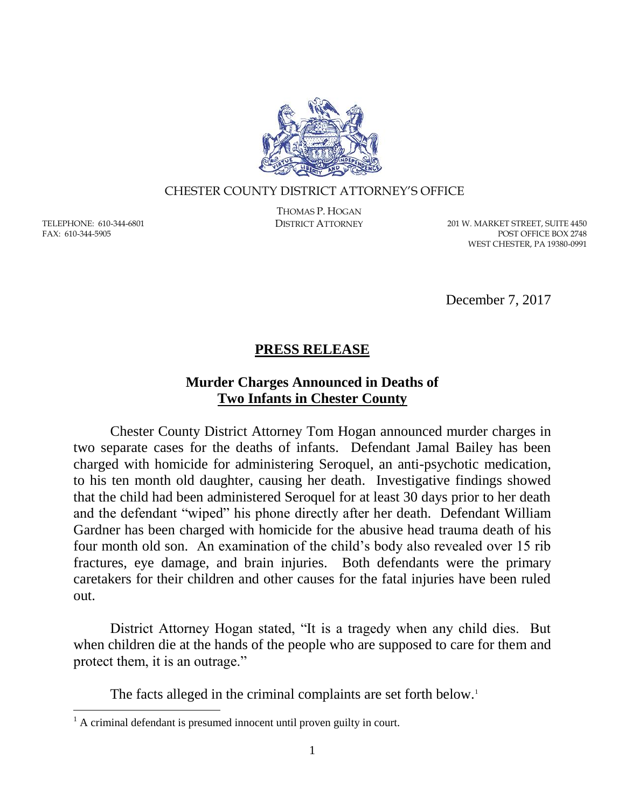

#### CHESTER COUNTY DISTRICT ATTORNEY'S OFFICE

TELEPHONE: 610-344-6801 FAX: 610-344-5905

 $\overline{a}$ 

THOMAS P. HOGAN

DISTRICT ATTORNEY 201 W. MARKET STREET, SUITE 4450 POST OFFICE BOX 2748 WEST CHESTER, PA 19380-0991

December 7, 2017

# **PRESS RELEASE**

## **Murder Charges Announced in Deaths of Two Infants in Chester County**

Chester County District Attorney Tom Hogan announced murder charges in two separate cases for the deaths of infants. Defendant Jamal Bailey has been charged with homicide for administering Seroquel, an anti-psychotic medication, to his ten month old daughter, causing her death. Investigative findings showed that the child had been administered Seroquel for at least 30 days prior to her death and the defendant "wiped" his phone directly after her death. Defendant William Gardner has been charged with homicide for the abusive head trauma death of his four month old son. An examination of the child's body also revealed over 15 rib fractures, eye damage, and brain injuries. Both defendants were the primary caretakers for their children and other causes for the fatal injuries have been ruled out.

District Attorney Hogan stated, "It is a tragedy when any child dies. But when children die at the hands of the people who are supposed to care for them and protect them, it is an outrage."

The facts alleged in the criminal complaints are set forth below.<sup>1</sup>

 $<sup>1</sup>$  A criminal defendant is presumed innocent until proven guilty in court.</sup>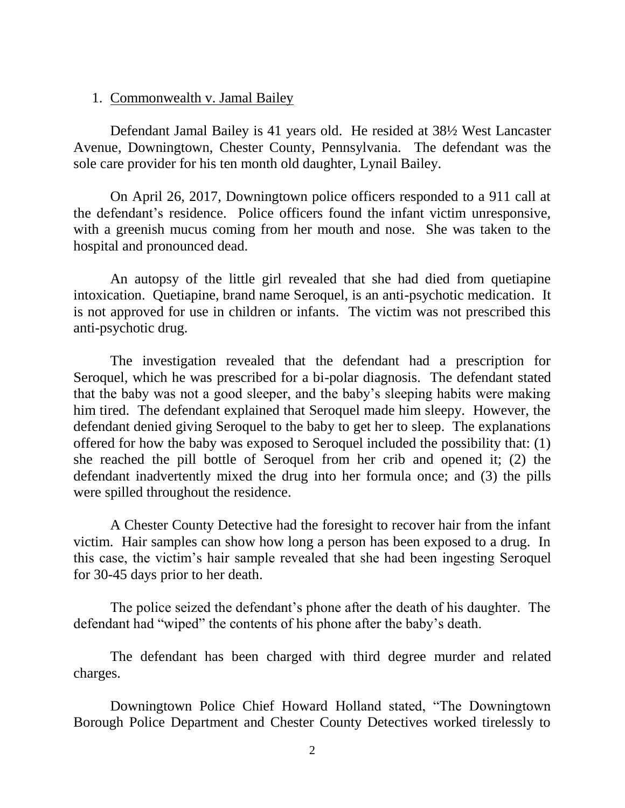### 1. Commonwealth v. Jamal Bailey

Defendant Jamal Bailey is 41 years old. He resided at 38½ West Lancaster Avenue, Downingtown, Chester County, Pennsylvania. The defendant was the sole care provider for his ten month old daughter, Lynail Bailey.

On April 26, 2017, Downingtown police officers responded to a 911 call at the defendant's residence. Police officers found the infant victim unresponsive, with a greenish mucus coming from her mouth and nose. She was taken to the hospital and pronounced dead.

An autopsy of the little girl revealed that she had died from quetiapine intoxication. Quetiapine, brand name Seroquel, is an anti-psychotic medication. It is not approved for use in children or infants. The victim was not prescribed this anti-psychotic drug.

The investigation revealed that the defendant had a prescription for Seroquel, which he was prescribed for a bi-polar diagnosis. The defendant stated that the baby was not a good sleeper, and the baby's sleeping habits were making him tired. The defendant explained that Seroquel made him sleepy. However, the defendant denied giving Seroquel to the baby to get her to sleep. The explanations offered for how the baby was exposed to Seroquel included the possibility that: (1) she reached the pill bottle of Seroquel from her crib and opened it; (2) the defendant inadvertently mixed the drug into her formula once; and (3) the pills were spilled throughout the residence.

A Chester County Detective had the foresight to recover hair from the infant victim. Hair samples can show how long a person has been exposed to a drug. In this case, the victim's hair sample revealed that she had been ingesting Seroquel for 30-45 days prior to her death.

The police seized the defendant's phone after the death of his daughter. The defendant had "wiped" the contents of his phone after the baby's death.

The defendant has been charged with third degree murder and related charges.

Downingtown Police Chief Howard Holland stated, "The Downingtown Borough Police Department and Chester County Detectives worked tirelessly to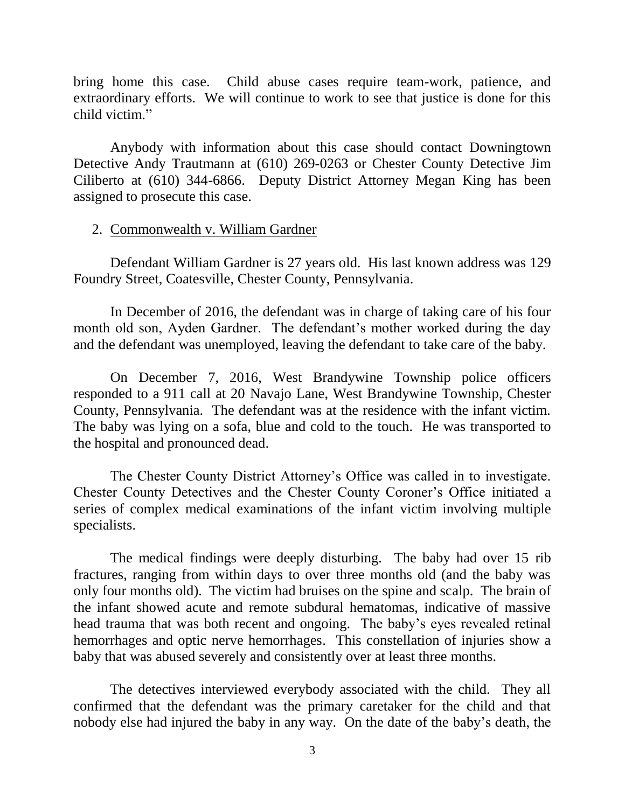bring home this case. Child abuse cases require team-work, patience, and extraordinary efforts. We will continue to work to see that justice is done for this child victim."

Anybody with information about this case should contact Downingtown Detective Andy Trautmann at (610) 269-0263 or Chester County Detective Jim Ciliberto at (610) 344-6866. Deputy District Attorney Megan King has been assigned to prosecute this case.

## 2. Commonwealth v. William Gardner

Defendant William Gardner is 27 years old. His last known address was 129 Foundry Street, Coatesville, Chester County, Pennsylvania.

In December of 2016, the defendant was in charge of taking care of his four month old son, Ayden Gardner. The defendant's mother worked during the day and the defendant was unemployed, leaving the defendant to take care of the baby.

On December 7, 2016, West Brandywine Township police officers responded to a 911 call at 20 Navajo Lane, West Brandywine Township, Chester County, Pennsylvania. The defendant was at the residence with the infant victim. The baby was lying on a sofa, blue and cold to the touch. He was transported to the hospital and pronounced dead.

The Chester County District Attorney's Office was called in to investigate. Chester County Detectives and the Chester County Coroner's Office initiated a series of complex medical examinations of the infant victim involving multiple specialists.

The medical findings were deeply disturbing. The baby had over 15 rib fractures, ranging from within days to over three months old (and the baby was only four months old). The victim had bruises on the spine and scalp. The brain of the infant showed acute and remote subdural hematomas, indicative of massive head trauma that was both recent and ongoing. The baby's eyes revealed retinal hemorrhages and optic nerve hemorrhages. This constellation of injuries show a baby that was abused severely and consistently over at least three months.

The detectives interviewed everybody associated with the child. They all confirmed that the defendant was the primary caretaker for the child and that nobody else had injured the baby in any way. On the date of the baby's death, the